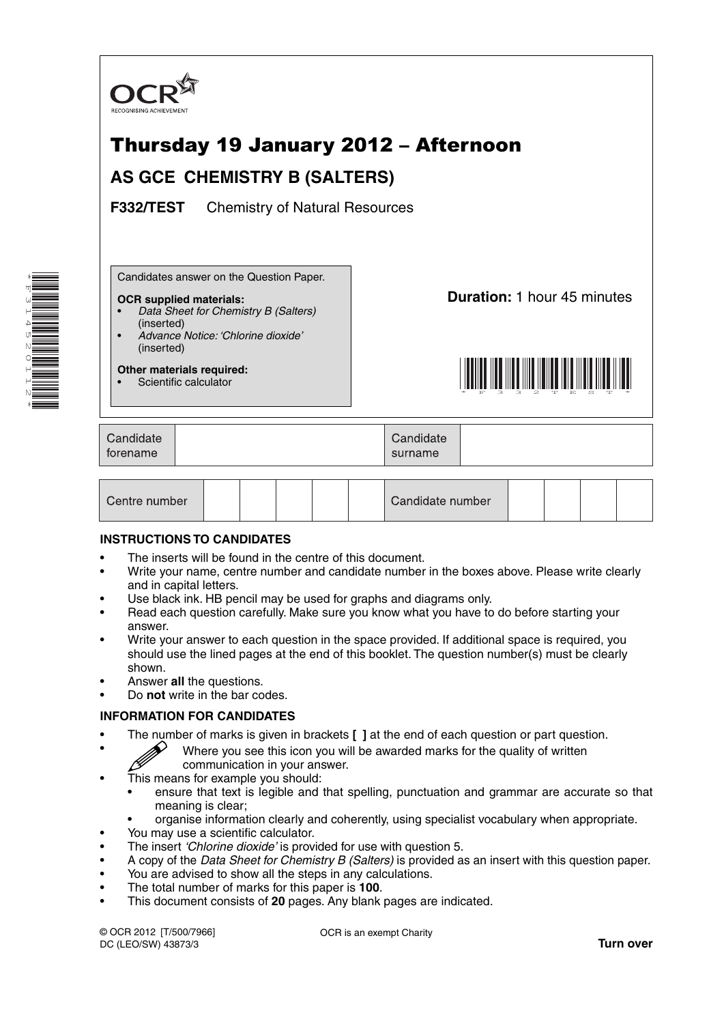

# Thursday 19 January 2012 – Afternoon

## **AS GCE CHEMISTRY B (SALTERS)**

**F332/TEST** Chemistry of Natural Resources

Candidates answer on the Question Paper.

#### **OCR supplied materials:**

- • *Data Sheet for Chemistry B (Salters)* (inserted)
- • *Advance Notice: 'Chlorine dioxide'* (inserted)

**Other materials required:** Scientific calculator

**Duration:** 1 hour 45 minutes



| Candidate<br>torename |  | Candidate<br>surname |  |
|-----------------------|--|----------------------|--|
|-----------------------|--|----------------------|--|

| Centre number |  |  |  |  |  | Candidate number |  |  |  |  |  |
|---------------|--|--|--|--|--|------------------|--|--|--|--|--|
|---------------|--|--|--|--|--|------------------|--|--|--|--|--|

### **INSTRUCTIONS TO CANDIDATES**

- The inserts will be found in the centre of this document.
- Write your name, centre number and candidate number in the boxes above. Please write clearly and in capital letters.
- Use black ink. HB pencil may be used for graphs and diagrams only.
- Read each question carefully. Make sure you know what you have to do before starting your answer.
- Write your answer to each question in the space provided. If additional space is required, you should use the lined pages at the end of this booklet. The question number(s) must be clearly shown.
- Answer **all** the questions.
- Do **not** write in the bar codes.

### **INFORMATION FOR CANDIDATES**

- The number of marks is given in brackets **[ ]** at the end of each question or part question.
	- Where you see this icon you will be awarded marks for the quality of written communication in your answer.
- This means for example you should:
	- ensure that text is legible and that spelling, punctuation and grammar are accurate so that meaning is clear;
	- organise information clearly and coherently, using specialist vocabulary when appropriate.
- You may use a scientific calculator.
- The insert *'Chlorine dioxide'* is provided for use with question 5.
- A copy of the *Data Sheet for Chemistry B (Salters)* is provided as an insert with this question paper.
- You are advised to show all the steps in any calculations.
- The total number of marks for this paper is **100**.
- This document consists of **20** pages. Any blank pages are indicated.

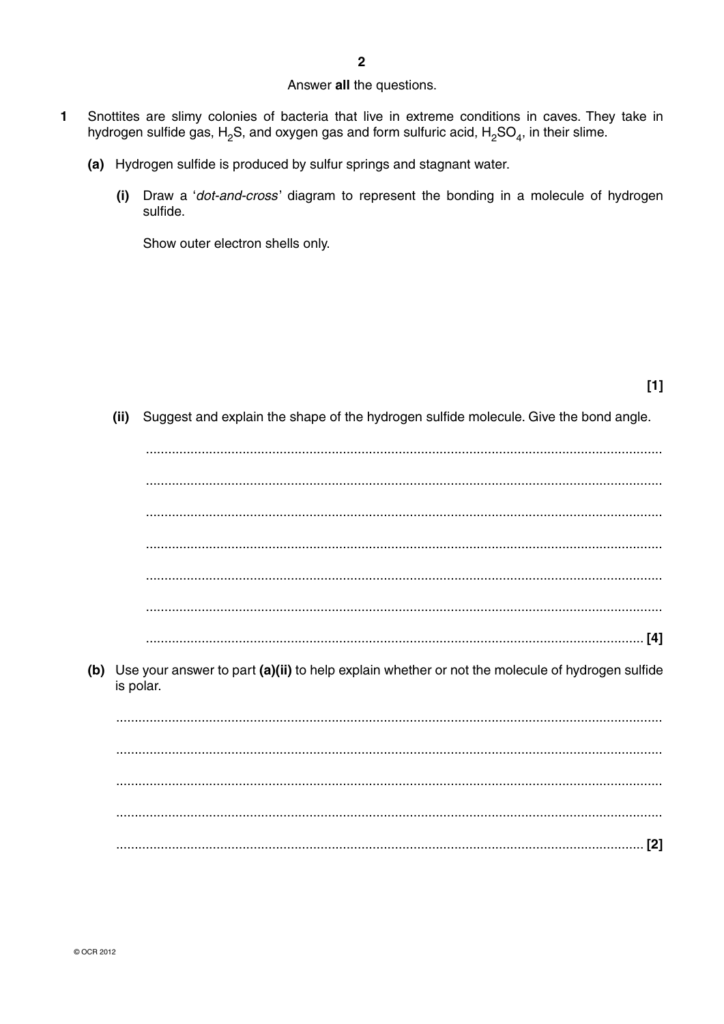### Answer all the questions.

- $\mathbf{1}$ Snottites are slimy colonies of bacteria that live in extreme conditions in caves. They take in hydrogen sulfide gas,  $H_2S$ , and oxygen gas and form sulfuric acid,  $H_2SO_4$ , in their slime.
	- (a) Hydrogen sulfide is produced by sulfur springs and stagnant water.
		- (i) Draw a 'dot-and-cross' diagram to represent the bonding in a molecule of hydrogen sulfide.

Show outer electron shells only.

(ii) Suggest and explain the shape of the hydrogen sulfide molecule. Give the bond angle.

| (b) | Use your answer to part (a)(ii) to help explain whether or not the molecule of hydrogen sulfide<br>is polar. |
|-----|--------------------------------------------------------------------------------------------------------------|
|     |                                                                                                              |
|     |                                                                                                              |
|     |                                                                                                              |
|     |                                                                                                              |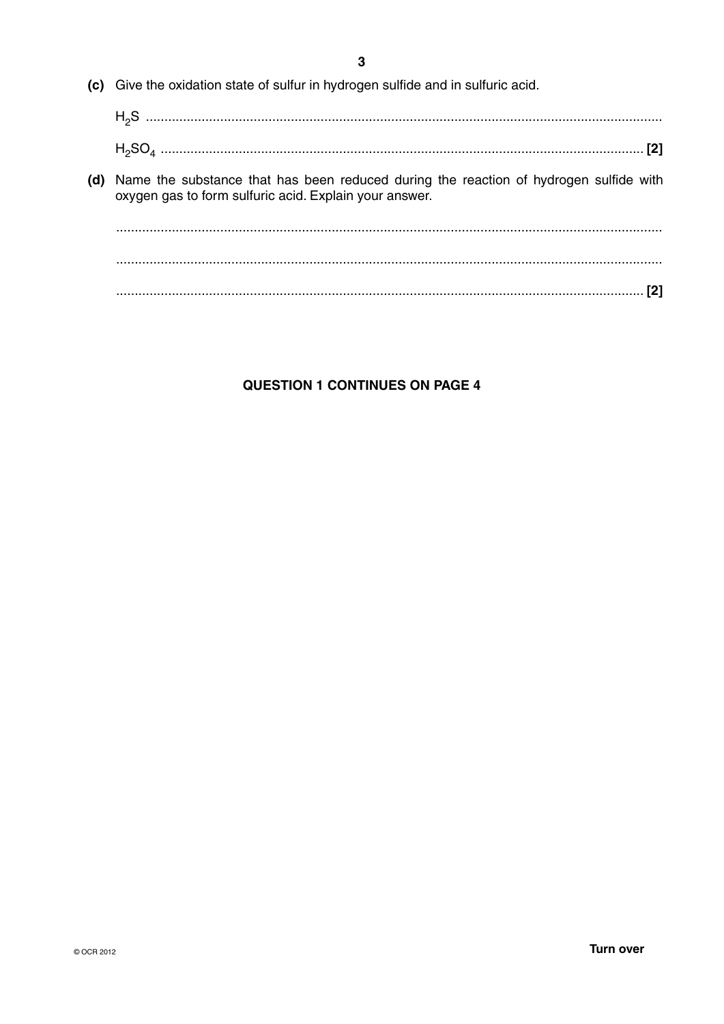$\overline{3}$ 

- (c) Give the oxidation state of sulfur in hydrogen sulfide and in sulfuric acid.
	-
- (d) Name the substance that has been reduced during the reaction of hydrogen sulfide with oxygen gas to form sulfuric acid. Explain your answer.

### **QUESTION 1 CONTINUES ON PAGE 4**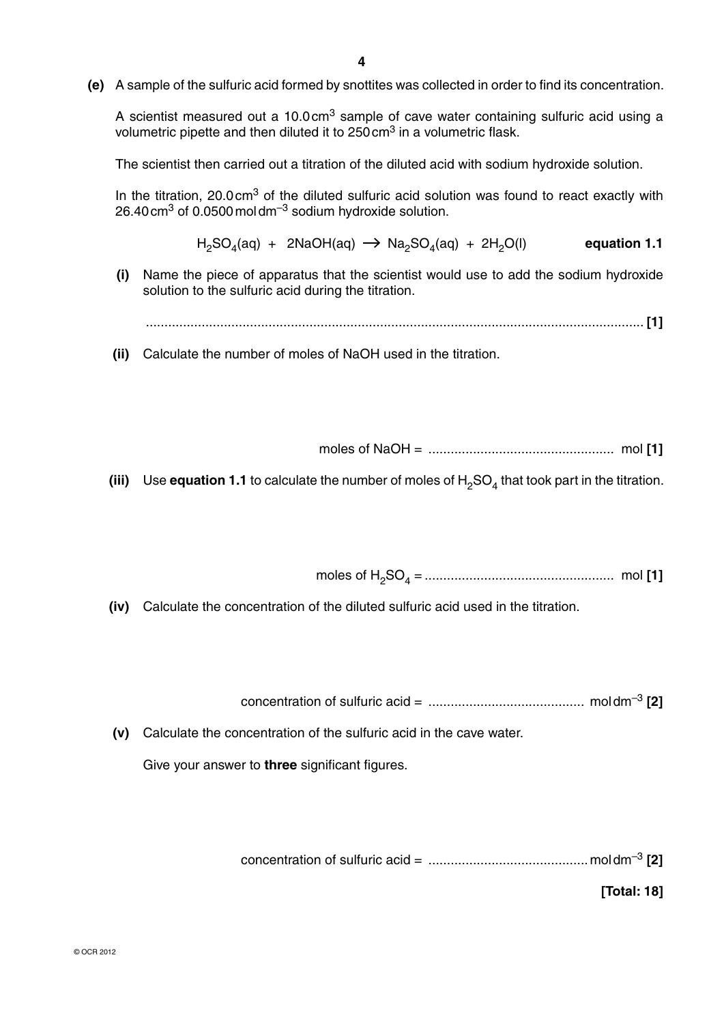**(e)** A sample of the sulfuric acid formed by snottites was collected in order to find its concentration.

A scientist measured out a 10.0 cm<sup>3</sup> sample of cave water containing sulfuric acid using a volumetric pipette and then diluted it to  $250 \text{ cm}^3$  in a volumetric flask.

The scientist then carried out a titration of the diluted acid with sodium hydroxide solution.

In the titration, 20.0 cm<sup>3</sup> of the diluted sulfuric acid solution was found to react exactly with 26.40 cm<sup>3</sup> of  $0.0500$  moldm<sup>-3</sup> sodium hydroxide solution.

 $H_2SO_4(aq) + 2NaOH(aq) \rightarrow Na_2SO_4(aq) + 2H_2O(l)$  equation 1.1

 **(i)** Name the piece of apparatus that the scientist would use to add the sodium hydroxide solution to the sulfuric acid during the titration.

...................................................................................................................................... **[1]**

 **(ii)** Calculate the number of moles of NaOH used in the titration.

moles of NaOH = .................................................. mol **[1]**

**(iii)** Use **equation 1.1** to calculate the number of moles of  $H_2SO_4$  that took part in the titration.

moles of H2SO4 = ................................................... mol **[1]**

 **(iv)** Calculate the concentration of the diluted sulfuric acid used in the titration.

concentration of sulfuric acid = .......................................... mol dm–3 **[2]**

 **(v)** Calculate the concentration of the sulfuric acid in the cave water.

Give your answer to **three** significant figures.

concentration of sulfuric acid = ...........................................mol dm–3 **[2]**

**[Total: 18]**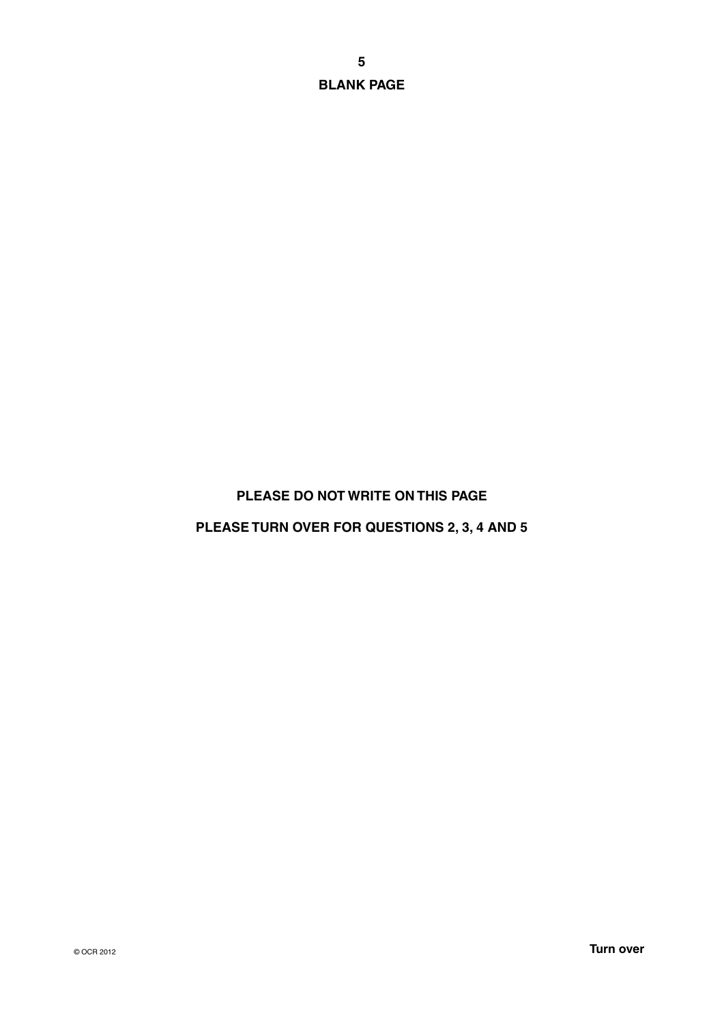**BLANK PAGE**

### **PLEASE DO NOT WRITE ON THIS PAGE**

### **PLEASE TURN OVER FOR QUESTIONS 2, 3, 4 AND 5**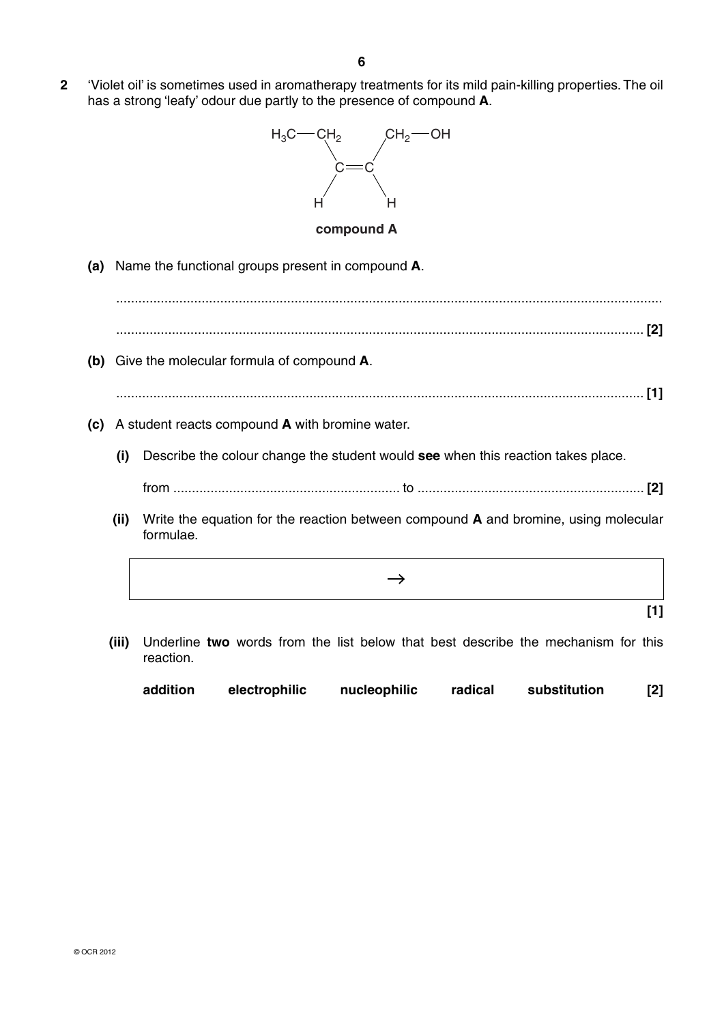**2** 'Violet oil' is sometimes used in aromatherapy treatments for its mild pain-killing properties. The oil has a strong 'leafy' odour due partly to the presence of compound **A**.



#### **compound A**

 **(a)** Name the functional groups present in compound **A**.

 ................................................................................................................................................... .............................................................................................................................................. **[2]**

 **(b)** Give the molecular formula of compound **A**.

.............................................................................................................................................. **[1]**

- **(c)** A student reacts compound **A** with bromine water.
	- **(i)** Describe the colour change the student would **see** when this reaction takes place. from ............................................................. to ............................................................. **[2]**
	- **(ii)** Write the equation for the reaction between compound **A** and bromine, using molecular formulae.
		- $\rightarrow$ **[1]**
	- **(iii)** Underline **two** words from the list below that best describe the mechanism for this reaction.

| addition | electrophilic | nucleophilic | radical | substitution | $[2]$ |
|----------|---------------|--------------|---------|--------------|-------|
|----------|---------------|--------------|---------|--------------|-------|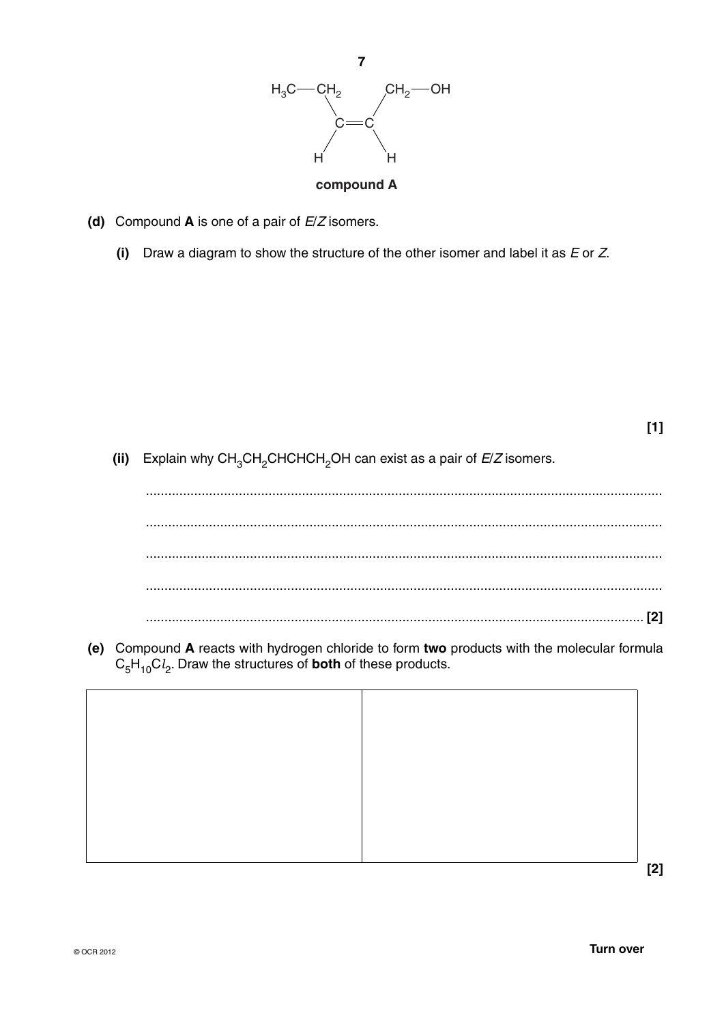

- **(d)** Compound **A** is one of a pair of *E*/*Z* isomers.
	- **(i)** Draw a diagram to show the structure of the other isomer and label it as *E* or *Z*.

**(ii)** Explain why CH<sub>3</sub>CH<sub>2</sub>CHCHCH<sub>2</sub>OH can exist as a pair of  $E/Z$  isomers.

 ........................................................................................................................................... ........................................................................................................................................... ........................................................................................................................................... ........................................................................................................................................... ...................................................................................................................................... **[2]**

 **(e)** Compound **A** reacts with hydrogen chloride to form **two** products with the molecular formula  $C_5H_{10}Cl_2$ . Draw the structures of **both** of these products.



**[1]**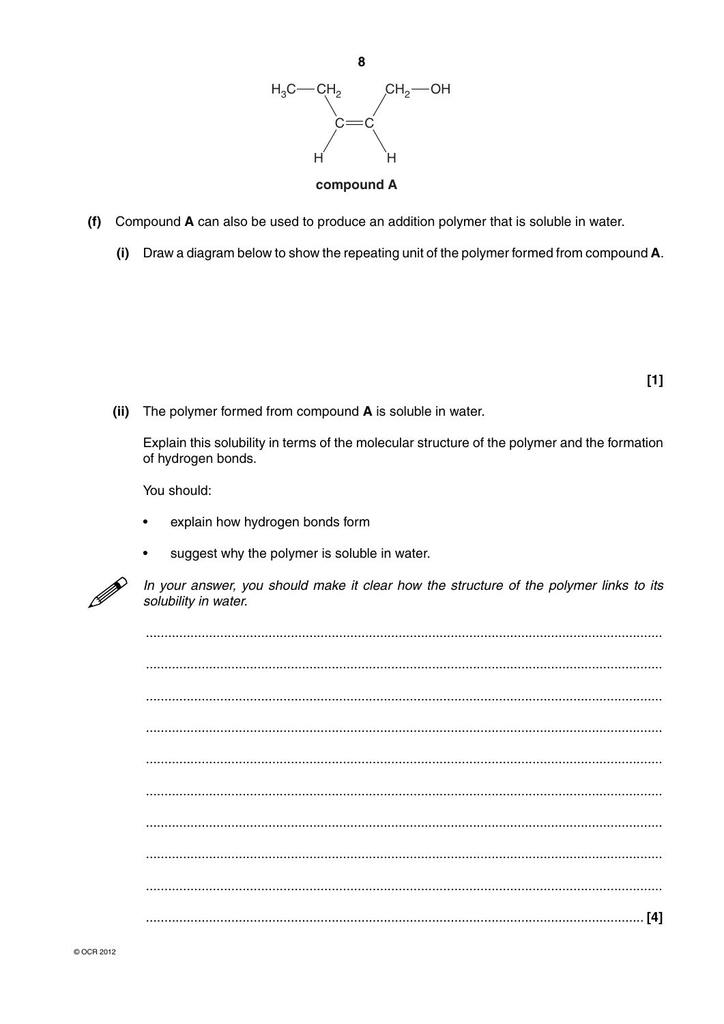

- Compound A can also be used to produce an addition polymer that is soluble in water.  $(f)$ 
	- Draw a diagram below to show the repeating unit of the polymer formed from compound A.  $(i)$

 $[1]$ 

(ii) The polymer formed from compound A is soluble in water.

Explain this solubility in terms of the molecular structure of the polymer and the formation of hydrogen bonds.

You should:

- explain how hydrogen bonds form
- suggest why the polymer is soluble in water.



In your answer, you should make it clear how the structure of the polymer links to its solubility in water.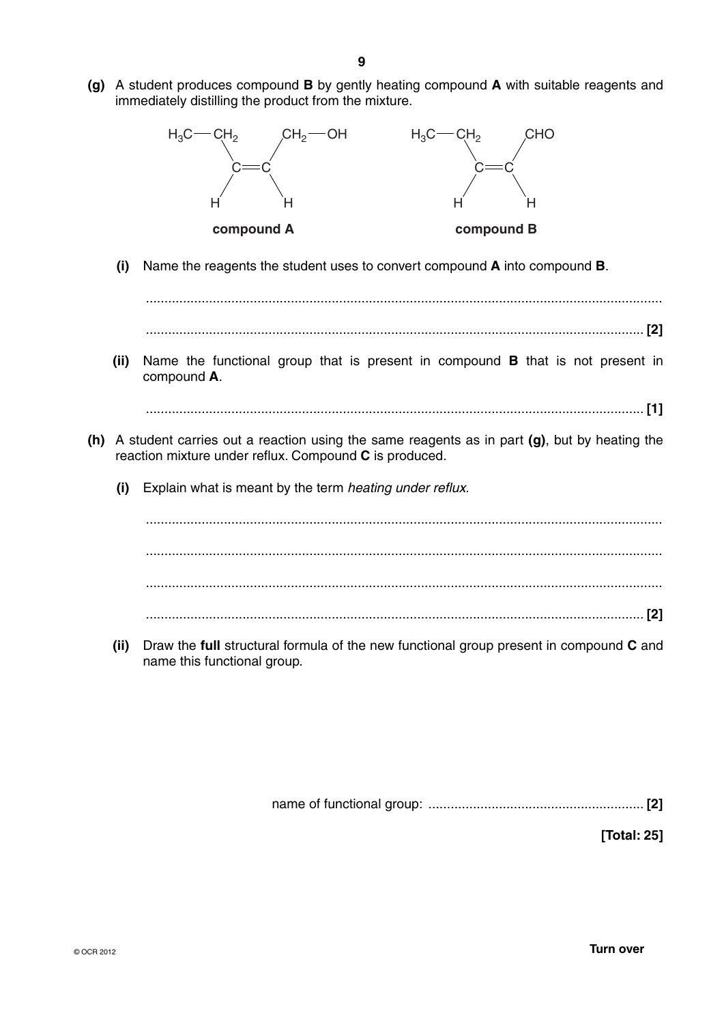**(g)** A student produces compound **B** by gently heating compound **A** with suitable reagents and immediately distilling the product from the mixture.



 **(i)** Name the reagents the student uses to convert compound **A** into compound **B**.

 ........................................................................................................................................... ...................................................................................................................................... **[2]**

 **(ii)** Name the functional group that is present in compound **B** that is not present in compound **A**.

...................................................................................................................................... **[1]**

- **(h)** A student carries out a reaction using the same reagents as in part **(g)**, but by heating the reaction mixture under reflux. Compound **C** is produced.
	- **(i)** Explain what is meant by the term *heating under reflux*.

 ........................................................................................................................................... ........................................................................................................................................... ........................................................................................................................................... ...................................................................................................................................... **[2]**

 **(ii)** Draw the **full** structural formula of the new functional group present in compound **C** and name this functional group.

name of functional group: .......................................................... **[2]**

**[Total: 25]**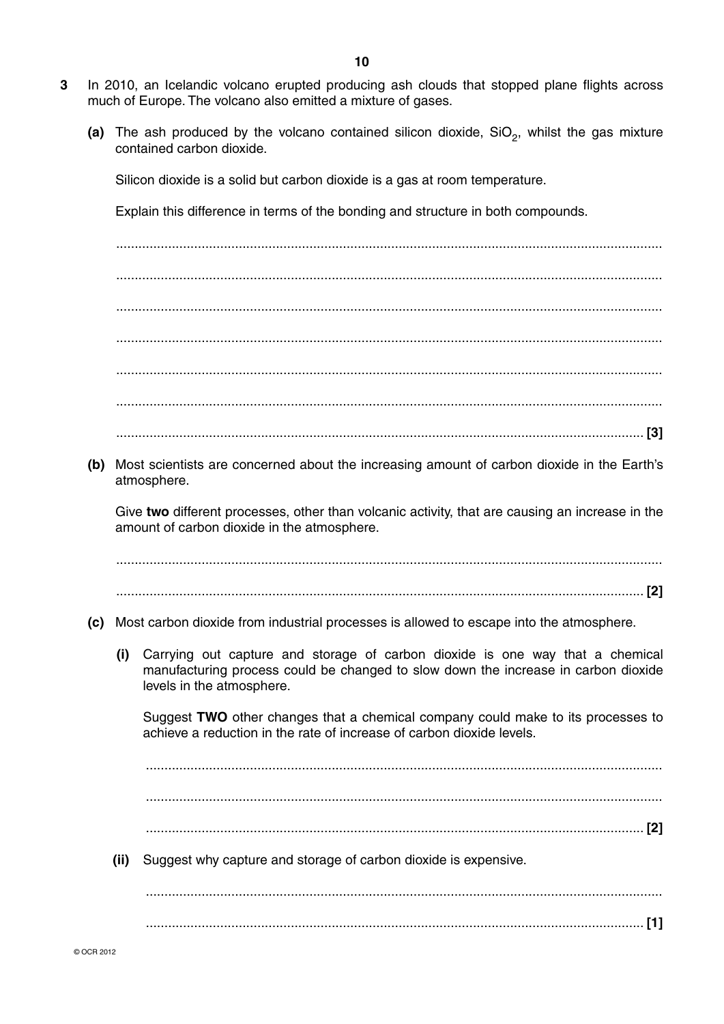- **3** In 2010, an Icelandic volcano erupted producing ash clouds that stopped plane flights across much of Europe. The volcano also emitted a mixture of gases.
	- (a) The ash produced by the volcano contained silicon dioxide, SiO<sub>2</sub>, whilst the gas mixture contained carbon dioxide.

Silicon dioxide is a solid but carbon dioxide is a gas at room temperature.

Explain this difference in terms of the bonding and structure in both compounds.

 ................................................................................................................................................... ................................................................................................................................................... ................................................................................................................................................... ................................................................................................................................................... ................................................................................................................................................... ................................................................................................................................................... .............................................................................................................................................. **[3]**

 **(b)** Most scientists are concerned about the increasing amount of carbon dioxide in the Earth's atmosphere.

Give **two** different processes, other than volcanic activity, that are causing an increase in the amount of carbon dioxide in the atmosphere.

 ................................................................................................................................................... .............................................................................................................................................. **[2]**

- **(c)** Most carbon dioxide from industrial processes is allowed to escape into the atmosphere.
	- **(i)** Carrying out capture and storage of carbon dioxide is one way that a chemical manufacturing process could be changed to slow down the increase in carbon dioxide levels in the atmosphere.

Suggest **TWO** other changes that a chemical company could make to its processes to achieve a reduction in the rate of increase of carbon dioxide levels.

 ........................................................................................................................................... ........................................................................................................................................... ...................................................................................................................................... **[2] (ii)** Suggest why capture and storage of carbon dioxide is expensive. ...........................................................................................................................................

...................................................................................................................................... **[1]**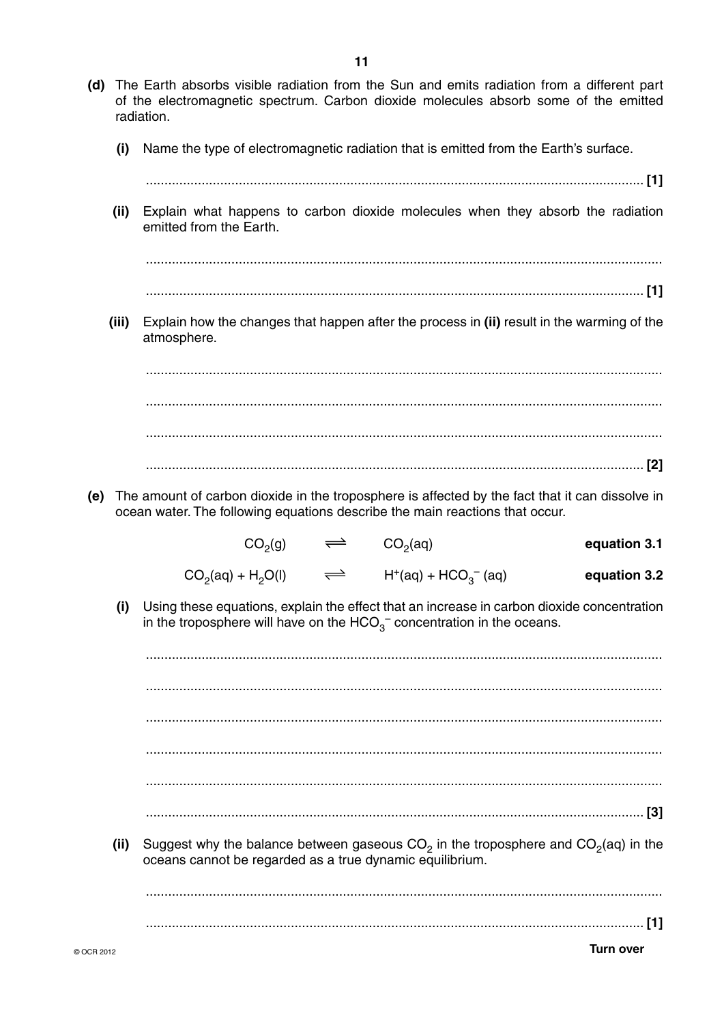- (d) The Earth absorbs visible radiation from the Sun and emits radiation from a different part of the electromagnetic spectrum. Carbon dioxide molecules absorb some of the emitted radiation.
	- Name the type of electromagnetic radiation that is emitted from the Earth's surface.  $(i)$
	- Explain what happens to carbon dioxide molecules when they absorb the radiation  $(ii)$ emitted from the Earth.

 $(iii)$ Explain how the changes that happen after the process in (ii) result in the warming of the atmosphere.

(e) The amount of carbon dioxide in the troposphere is affected by the fact that it can dissolve in ocean water. The following equations describe the main reactions that occur.

| equation 3.1 | CO <sub>2</sub> (aq)          | $\implies$           | CO <sub>2</sub> (g)  |
|--------------|-------------------------------|----------------------|----------------------|
| equation 3.2 | $H^{+}(aq) + HCO_{3}^{-}(aq)$ | $\rightleftharpoons$ | $CO_2(aq) + H_2O(l)$ |

Using these equations, explain the effect that an increase in carbon dioxide concentration  $(i)$ in the troposphere will have on the  $HCO<sub>3</sub><sup>-</sup>$  concentration in the oceans.

Suggest why the balance between gaseous  $CO<sub>2</sub>$  in the troposphere and  $CO<sub>2</sub>(aq)$  in the

 $(ii)$ oceans cannot be regarded as a true dynamic equilibrium.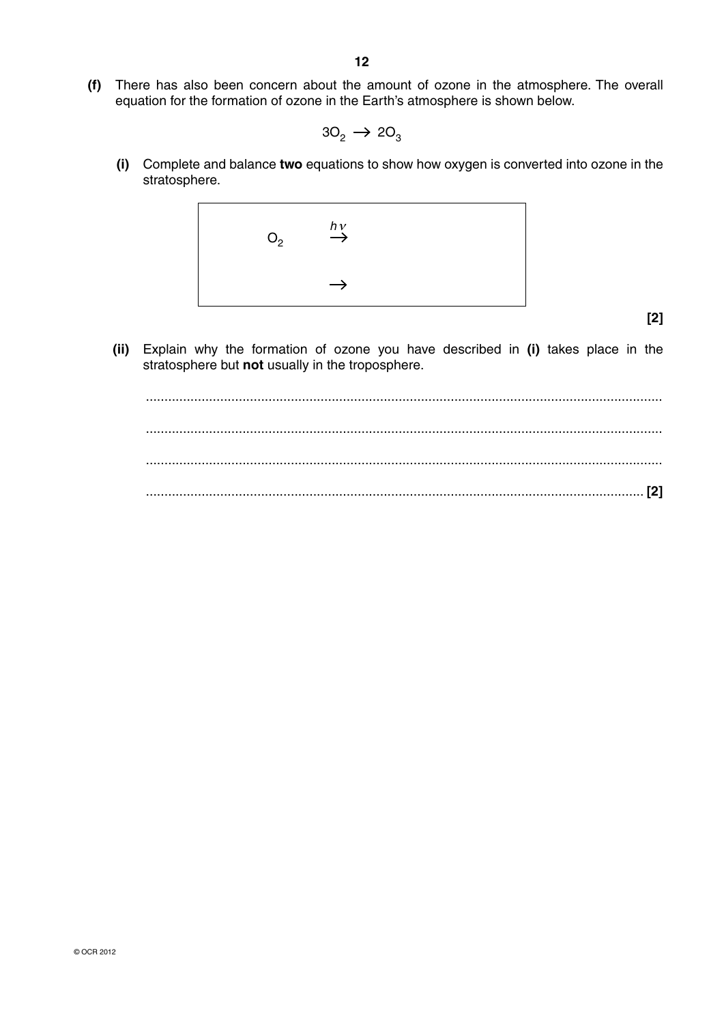**(f)** There has also been concern about the amount of ozone in the atmosphere. The overall equation for the formation of ozone in the Earth's atmosphere is shown below.

$$
3\text{O}_2\rightarrow2\text{O}_3
$$

 **(i)** Complete and balance **two** equations to show how oxygen is converted into ozone in the stratosphere.



**[2]**

 **(ii)** Explain why the formation of ozone you have described in **(i)** takes place in the stratosphere but **not** usually in the troposphere.

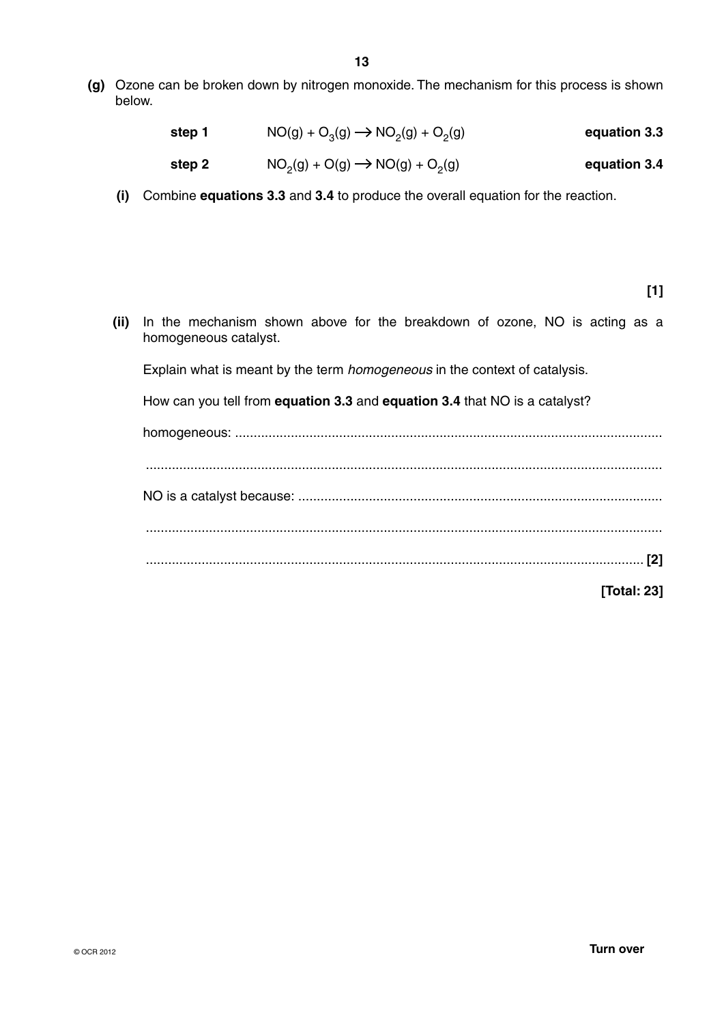**(g)** Ozone can be broken down by nitrogen monoxide. The mechanism for this process is shown below.

| equation 3.3 | $NO(g) + O_3(g) \rightarrow NO_2(g) + O_2(g)$ | step 1 |
|--------------|-----------------------------------------------|--------|
| equation 3.4 | $NO_2(g) + O(g) \rightarrow NO(g) + O_2(g)$   | step 2 |

 **(i)** Combine **equations 3.3** and **3.4** to produce the overall equation for the reaction.

**[1]**

 **(ii)** In the mechanism shown above for the breakdown of ozone, NO is acting as a homogeneous catalyst.

Explain what is meant by the term *homogeneous* in the context of catalysis.

How can you tell from **equation 3.3** and **equation 3.4** that NO is a catalyst?

homogeneous: ................................................................................................................... ........................................................................................................................................... NO is a catalyst because: .................................................................................................. ........................................................................................................................................... ...................................................................................................................................... **[2] [Total: 23]**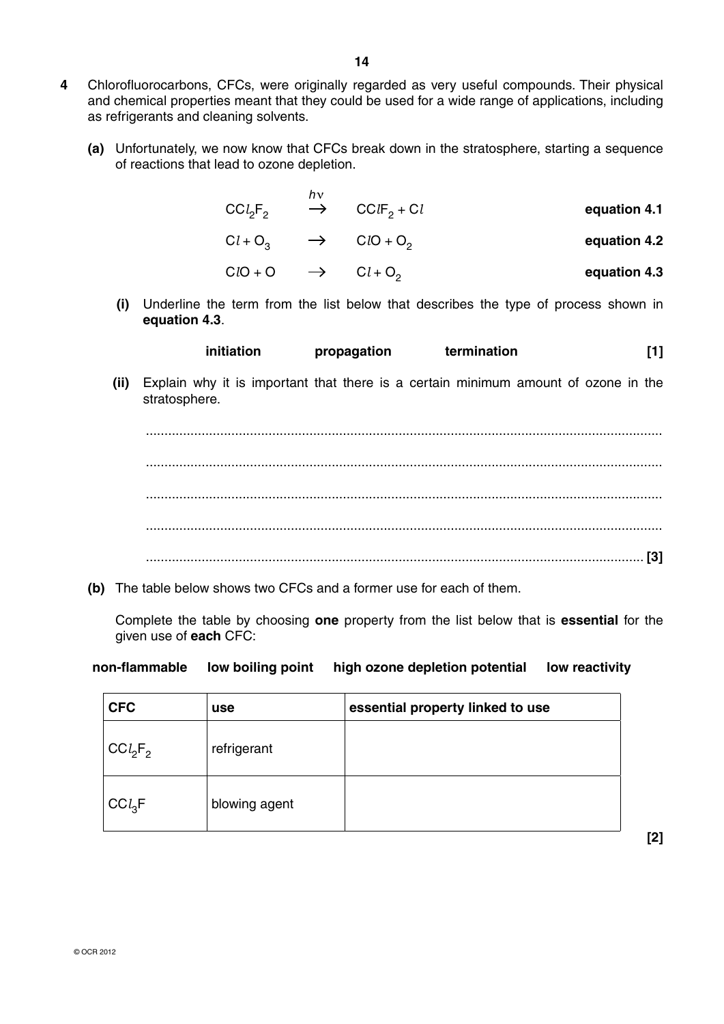- **4** Chlorofluorocarbons, CFCs, were originally regarded as very useful compounds. Their physical and chemical properties meant that they could be used for a wide range of applications, including as refrigerants and cleaning solvents.
	- **(a)** Unfortunately, we now know that CFCs break down in the stratosphere, starting a sequence of reactions that lead to ozone depletion.

| n٦                              |                                      |              |
|---------------------------------|--------------------------------------|--------------|
| CCl <sub>2</sub> F <sub>2</sub> | $\rightarrow$ CCIF <sub>2</sub> + Cl | equation 4.1 |

$$
Cl + O_3 \longrightarrow ClO + O_2 \qquad \qquad \text{equation 4.2}
$$

$$
ClO + O \qquad \longrightarrow \qquad Cl + O_2 \qquad \qquad \text{equation 4.3}
$$

 **(i)** Underline the term from the list below that describes the type of process shown in **equation 4.3**.

| initiation | propagation | termination |  |
|------------|-------------|-------------|--|
|------------|-------------|-------------|--|

 **(ii)** Explain why it is important that there is a certain minimum amount of ozone in the stratosphere.



 **(b)** The table below shows two CFCs and a former use for each of them.

Complete the table by choosing **one** property from the list below that is **essential** for the given use of **each** CFC:

### **non-flammable low boiling point high ozone depletion potential low reactivity**

| <b>CFC</b> | use           | essential property linked to use |
|------------|---------------|----------------------------------|
| $CCl_2F_2$ | refrigerant   |                                  |
| $CCl_3F$   | blowing agent |                                  |

**[2]**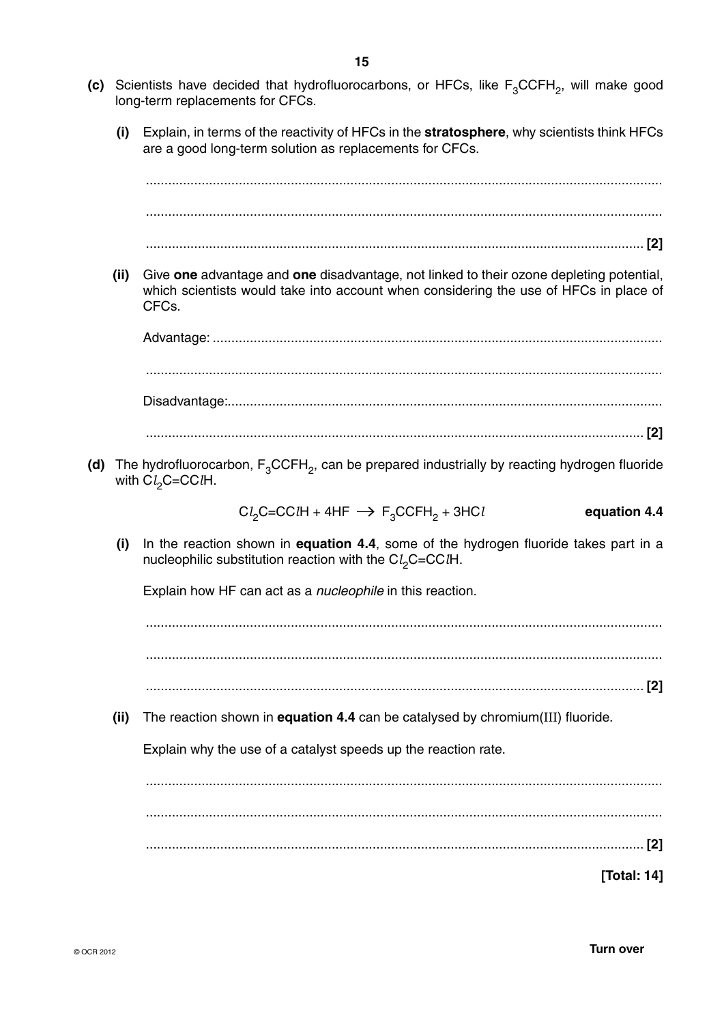- **(c)** Scientists have decided that hydrofluorocarbons, or HFCs, like  $F_3$ CCFH<sub>2</sub>, will make good long-term replacements for CFCs.
	- **(i)** Explain, in terms of the reactivity of HFCs in the **stratosphere**, why scientists think HFCs are a good long-term solution as replacements for CFCs.

| (ii) | Give one advantage and one disadvantage, not linked to their ozone depleting potential,<br>which scientists would take into account when considering the use of HFCs in place of<br>CFC <sub>s</sub> . |
|------|--------------------------------------------------------------------------------------------------------------------------------------------------------------------------------------------------------|
|      |                                                                                                                                                                                                        |
|      |                                                                                                                                                                                                        |
|      |                                                                                                                                                                                                        |
|      |                                                                                                                                                                                                        |
|      | (d) The hydrofluorocarbon, $F_3CCFH_2$ , can be prepared industrially by reacting hydrogen fluoride<br>with $Cl2C=CClH$ .                                                                              |
|      | $Cl_2C=CClH + 4HF \rightarrow F_3CCFH_2 + 3HCl$<br>equation 4.4                                                                                                                                        |
| (i)  | In the reaction shown in equation 4.4, some of the hydrogen fluoride takes part in a<br>nucleophilic substitution reaction with the $Cl2C=CClH$ .                                                      |
|      | Explain how HF can act as a <i>nucleophile</i> in this reaction.                                                                                                                                       |
|      |                                                                                                                                                                                                        |
|      |                                                                                                                                                                                                        |
|      | $[2]$                                                                                                                                                                                                  |
| (ii) | The reaction shown in equation 4.4 can be catalysed by chromium(III) fluoride.                                                                                                                         |
|      | Explain why the use of a catalyst speeds up the reaction rate.                                                                                                                                         |
|      |                                                                                                                                                                                                        |
|      |                                                                                                                                                                                                        |
|      |                                                                                                                                                                                                        |
|      | [Total: 14]                                                                                                                                                                                            |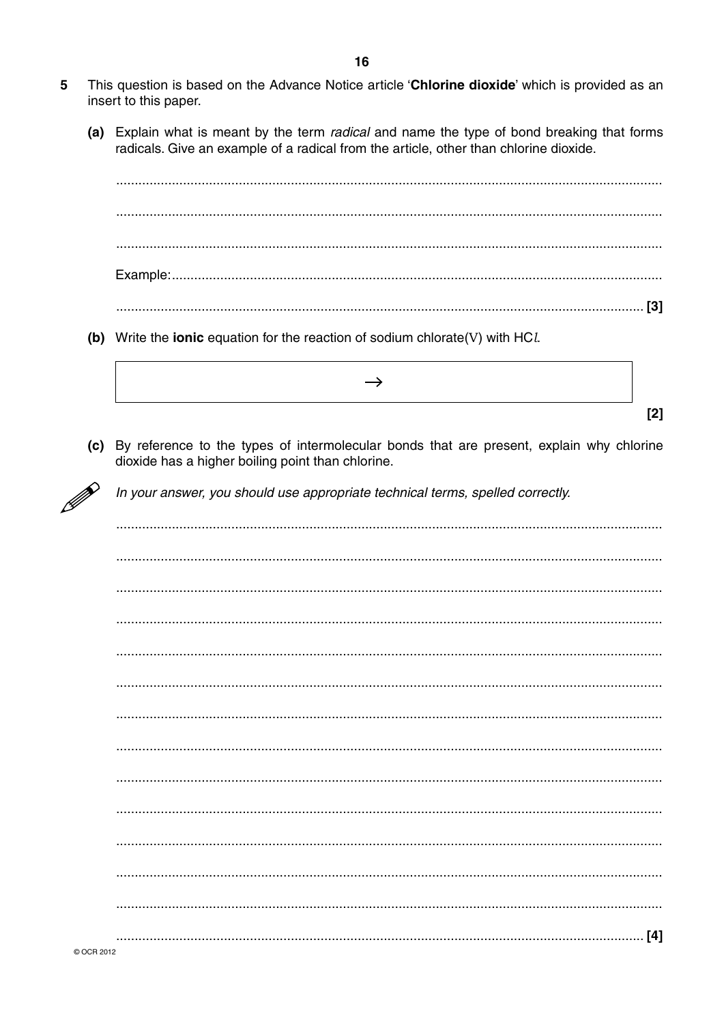- This question is based on the Advance Notice article 'Chlorine dioxide' which is provided as an 5 insert to this paper.
	- (a) Explain what is meant by the term *radical* and name the type of bond breaking that forms radicals. Give an example of a radical from the article, other than chlorine dioxide.

- (b) Write the ionic equation for the reaction of sodium chlorate(V) with  $HCL$ 
	- $\rightarrow$  $[2]$
- (c) By reference to the types of intermolecular bonds that are present, explain why chlorine dioxide has a higher boiling point than chlorine.

In your answer, you should use appropriate technical terms, spelled correctly.

© OCR 2012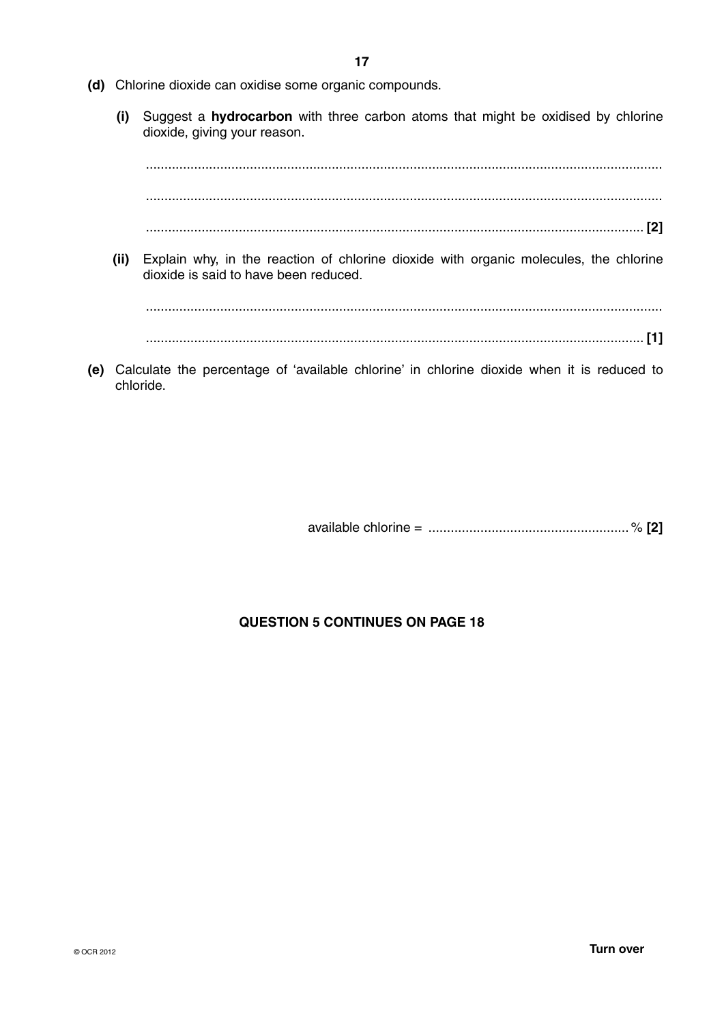- **(d)** Chlorine dioxide can oxidise some organic compounds.
	- **(i)** Suggest a **hydrocarbon** with three carbon atoms that might be oxidised by chlorine dioxide, giving your reason.

 ........................................................................................................................................... ...........................................................................................................................................

...................................................................................................................................... **[2]**

 **(ii)** Explain why, in the reaction of chlorine dioxide with organic molecules, the chlorine dioxide is said to have been reduced.

 ........................................................................................................................................... ...................................................................................................................................... **[1]**

 **(e)** Calculate the percentage of 'available chlorine' in chlorine dioxide when it is reduced to chloride.

available chlorine = ...................................................... % **[2]**

### **QUESTION 5 CONTINUES ON PAGE 18**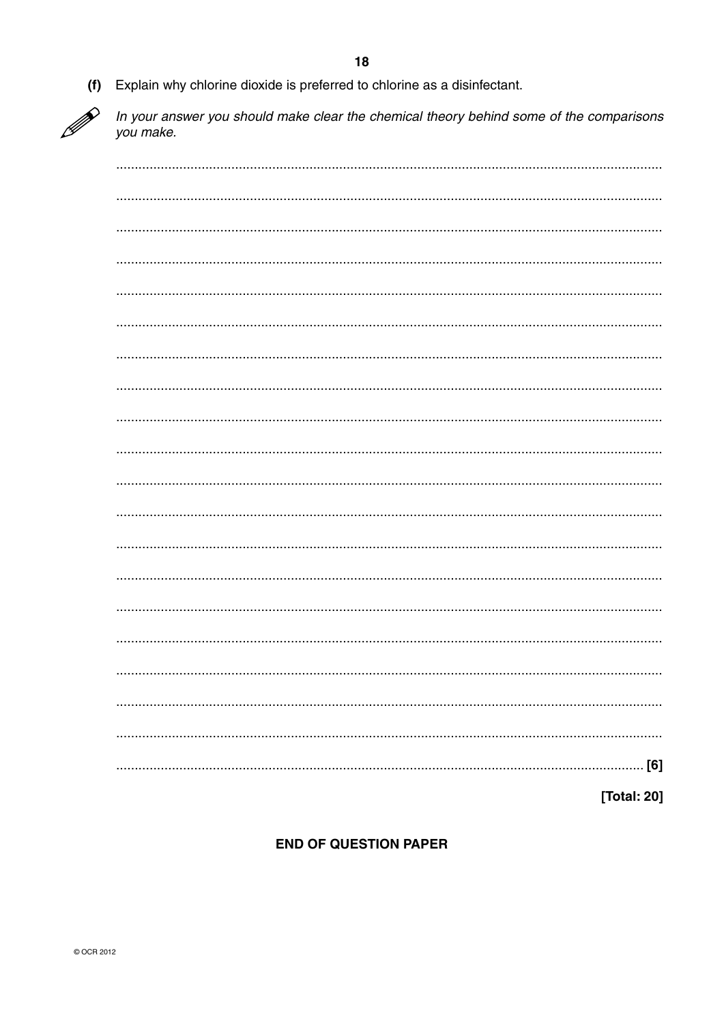

Explain why chlorine dioxide is preferred to chlorine as a disinfectant.

In your answer you should make clear the chemical theory behind some of the comparisons vou make.

[Total: 20]

### **END OF QUESTION PAPER**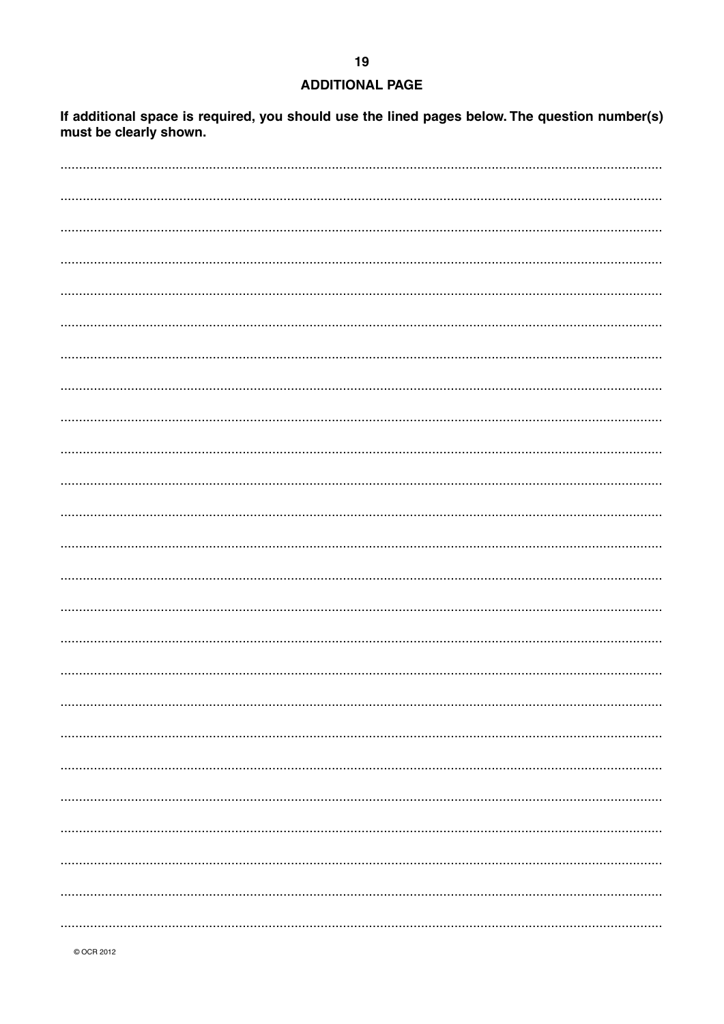### **ADDITIONAL PAGE**

If additional space is required, you should use the lined pages below. The question number(s) must be clearly shown.

© OCR 2012